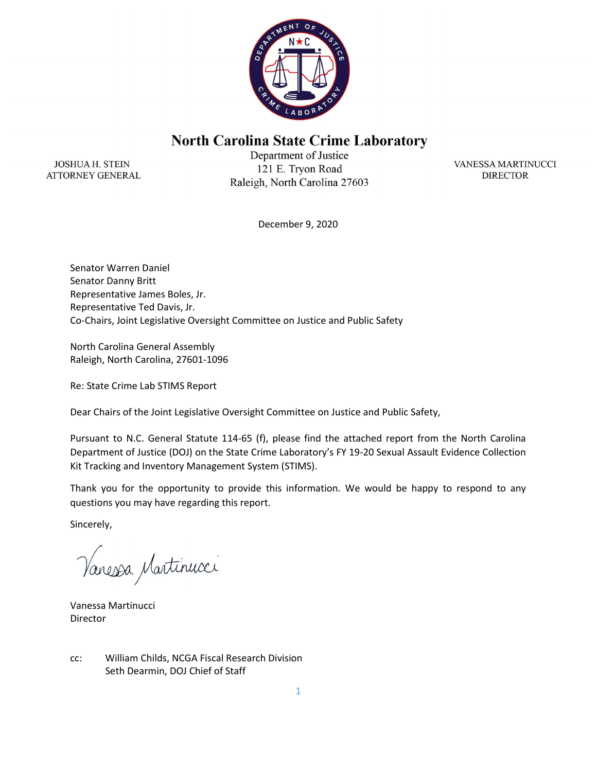

## **North Carolina State Crime Laboratory**

**JOSHUA H. STEIN ATTORNEY GENERAL** 

Department of Justice 121 E. Tryon Road Raleigh, North Carolina 27603

VANESSA MARTINUCCI **DIRECTOR** 

December 9, 2020

Senator Warren Daniel Senator Danny Britt Representative James Boles, Jr. Representative Ted Davis, Jr. Co-Chairs, Joint Legislative Oversight Committee on Justice and Public Safety

North Carolina General Assembly Raleigh, North Carolina, 27601-1096

Re: State Crime Lab STIMS Report

Dear Chairs of the Joint Legislative Oversight Committee on Justice and Public Safety,

Pursuant to N.C. General Statute 114-65 (f), please find the attached report from the North Carolina Department of Justice (DOJ) on the State Crime Laboratory's FY 19-20 Sexual Assault Evidence Collection Kit Tracking and Inventory Management System (STIMS).

Thank you for the opportunity to provide this information. We would be happy to respond to any questions you may have regarding this report.

Sincerely,

Vanessa Martinucci

Vanessa Martinucci Director

cc: William Childs, NCGA Fiscal Research Division Seth Dearmin, DOJ Chief of Staff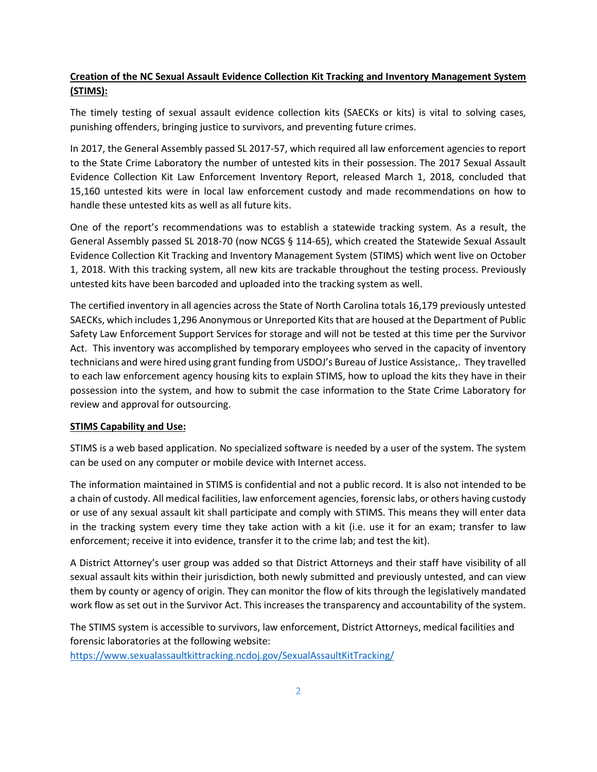### Creation of the NC Sexual Assault Evidence Collection Kit Tracking and Inventory Management System (STIMS):

The timely testing of sexual assault evidence collection kits (SAECKs or kits) is vital to solving cases, punishing offenders, bringing justice to survivors, and preventing future crimes.

In 2017, the General Assembly passed SL 2017-57, which required all law enforcement agencies to report to the State Crime Laboratory the number of untested kits in their possession. The 2017 Sexual Assault Evidence Collection Kit Law Enforcement Inventory Report, released March 1, 2018, concluded that 15,160 untested kits were in local law enforcement custody and made recommendations on how to handle these untested kits as well as all future kits.

One of the report's recommendations was to establish a statewide tracking system. As a result, the General Assembly passed SL 2018-70 (now NCGS § 114-65), which created the Statewide Sexual Assault Evidence Collection Kit Tracking and Inventory Management System (STIMS) which went live on October 1, 2018. With this tracking system, all new kits are trackable throughout the testing process. Previously untested kits have been barcoded and uploaded into the tracking system as well.

The certified inventory in all agencies across the State of North Carolina totals 16,179 previously untested SAECKs, which includes 1,296 Anonymous or Unreported Kits that are housed at the Department of Public Safety Law Enforcement Support Services for storage and will not be tested at this time per the Survivor Act. This inventory was accomplished by temporary employees who served in the capacity of inventory technicians and were hired using grant funding from USDOJ's Bureau of Justice Assistance,. They travelled to each law enforcement agency housing kits to explain STIMS, how to upload the kits they have in their possession into the system, and how to submit the case information to the State Crime Laboratory for review and approval for outsourcing.

#### STIMS Capability and Use:

STIMS is a web based application. No specialized software is needed by a user of the system. The system can be used on any computer or mobile device with Internet access.

The information maintained in STIMS is confidential and not a public record. It is also not intended to be a chain of custody. All medical facilities, law enforcement agencies, forensic labs, or others having custody or use of any sexual assault kit shall participate and comply with STIMS. This means they will enter data in the tracking system every time they take action with a kit (i.e. use it for an exam; transfer to law enforcement; receive it into evidence, transfer it to the crime lab; and test the kit).

A District Attorney's user group was added so that District Attorneys and their staff have visibility of all sexual assault kits within their jurisdiction, both newly submitted and previously untested, and can view them by county or agency of origin. They can monitor the flow of kits through the legislatively mandated work flow as set out in the Survivor Act. This increases the transparency and accountability of the system.

The STIMS system is accessible to survivors, law enforcement, District Attorneys, medical facilities and forensic laboratories at the following website: https://www.sexualassaultkittracking.ncdoj.gov/SexualAssaultKitTracking/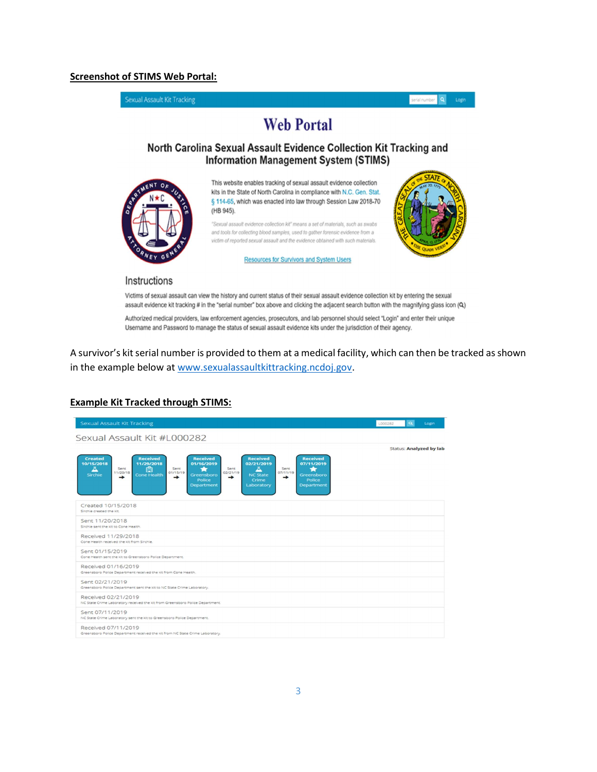#### Screenshot of STIMS Web Portal:

Sexual Assault Kit Tracking

eristrumber Q Login

# **Web Portal**

#### North Carolina Sexual Assault Evidence Collection Kit Tracking and **Information Management System (STIMS)**



This website enables tracking of sexual assault evidence collection kits in the State of North Carolina in compliance with N.C. Gen. Stat. § 114-65, which was enacted into law through Session Law 2018-70 (HB 945).

"Sexual assault evidence collection kit" means a set of materials, such as swabs and tools for collecting blood samples, used to gather forensic evidence from a victim of reported sexual assault and the evidence obtained with such materials.

**Resources for Survivors and System Users** 



#### Instructions

Victims of sexual assault can view the history and current status of their sexual assault evidence collection kit by entering the sexual assault evidence kit tracking # in the "serial number" box above and clicking the adjacent search button with the magnifying glass icon (Q)

Authorized medical providers, law enforcement agencies, prosecutors, and lab personnel should select "Login" and enter their unique Username and Password to manage the status of sexual assault evidence kits under the jurisdiction of their agency.

A survivor's kit serial number is provided to them at a medical facility, which can then be tracked as shown in the example below at www.sexualassaultkittracking.ncdoj.gov.

| <b>Sexual Assault Kit Tracking</b>                                                                                                                                                                                                                                                                                                                                                                                                                                   | $\alpha$<br>L000282            | Login |
|----------------------------------------------------------------------------------------------------------------------------------------------------------------------------------------------------------------------------------------------------------------------------------------------------------------------------------------------------------------------------------------------------------------------------------------------------------------------|--------------------------------|-------|
| Sexual Assault Kit #L000282                                                                                                                                                                                                                                                                                                                                                                                                                                          |                                |       |
|                                                                                                                                                                                                                                                                                                                                                                                                                                                                      | <b>Status: Analyzed by lab</b> |       |
| <b>Received</b><br><b>Received</b><br><b>Created</b><br><b>Received</b><br><b>Received</b><br>10/15/2018<br>11/29/2018<br>01/16/2019<br>02/21/2019<br>07/11/2019<br>甴<br>л<br>д<br>Sent<br>Sent<br>Sent<br>Sent<br>÷<br>01/15/19<br>07/11/19<br>11/20/18<br>02/21/19<br><b>Cone Health</b><br>Sirchie<br><b>NC State</b><br>Greensboro<br>Greensboro<br>→<br>→<br>→<br>→<br><b>Police</b><br>Crime<br>Police<br><b>Department</b><br>Laboratory<br><b>Department</b> |                                |       |
| Created 10/15/2018<br>Sirchie created the kit.                                                                                                                                                                                                                                                                                                                                                                                                                       |                                |       |
| Sent 11/20/2018<br>Sirchie sent the kit to Cone Health.                                                                                                                                                                                                                                                                                                                                                                                                              |                                |       |
| Received 11/29/2018<br>Cone Health received the kit from Sirchie.                                                                                                                                                                                                                                                                                                                                                                                                    |                                |       |
| Sent 01/15/2019<br>Cone Health sent the kit to Greensboro Police Department.                                                                                                                                                                                                                                                                                                                                                                                         |                                |       |
| Received 01/16/2019<br>Greensboro Police Department received the kit from Cone Health.                                                                                                                                                                                                                                                                                                                                                                               |                                |       |
| Sent 02/21/2019<br>Greensboro Police Department sent the kit to NC State Crime Laboratory.                                                                                                                                                                                                                                                                                                                                                                           |                                |       |
| Received 02/21/2019<br>NC State Crime Laboratory received the kit from Greensboro Police Department.                                                                                                                                                                                                                                                                                                                                                                 |                                |       |
| Sent 07/11/2019<br>NC State Crime Laboratory sent the kit to Greensboro Police Department.                                                                                                                                                                                                                                                                                                                                                                           |                                |       |
| Received 07/11/2019<br>Greensboro Police Department received the kit from NC State Crime Laboratory.                                                                                                                                                                                                                                                                                                                                                                 |                                |       |

#### Example Kit Tracked through STIMS: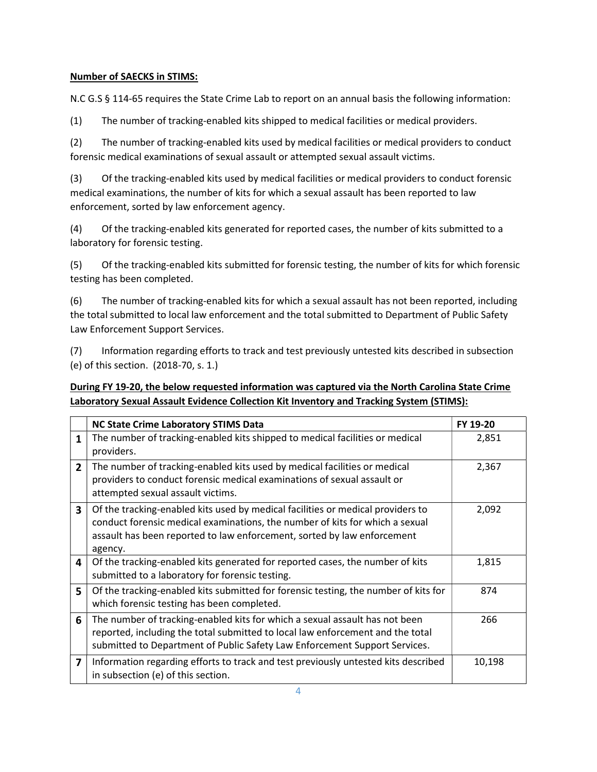### Number of SAECKS in STIMS:

N.C G.S § 114-65 requires the State Crime Lab to report on an annual basis the following information:

(1) The number of tracking-enabled kits shipped to medical facilities or medical providers.

(2) The number of tracking-enabled kits used by medical facilities or medical providers to conduct forensic medical examinations of sexual assault or attempted sexual assault victims.

(3) Of the tracking-enabled kits used by medical facilities or medical providers to conduct forensic medical examinations, the number of kits for which a sexual assault has been reported to law enforcement, sorted by law enforcement agency.

(4) Of the tracking-enabled kits generated for reported cases, the number of kits submitted to a laboratory for forensic testing.

(5) Of the tracking-enabled kits submitted for forensic testing, the number of kits for which forensic testing has been completed.

(6) The number of tracking-enabled kits for which a sexual assault has not been reported, including the total submitted to local law enforcement and the total submitted to Department of Public Safety Law Enforcement Support Services.

(7) Information regarding efforts to track and test previously untested kits described in subsection (e) of this section. (2018-70, s. 1.)

| During FY 19-20, the below requested information was captured via the North Carolina State Crime |  |
|--------------------------------------------------------------------------------------------------|--|
| Laboratory Sexual Assault Evidence Collection Kit Inventory and Tracking System (STIMS):         |  |

|                         | <b>NC State Crime Laboratory STIMS Data</b>                                                                                                                                                                                                           | FY 19-20 |
|-------------------------|-------------------------------------------------------------------------------------------------------------------------------------------------------------------------------------------------------------------------------------------------------|----------|
| 1                       | The number of tracking-enabled kits shipped to medical facilities or medical<br>providers.                                                                                                                                                            | 2,851    |
| $\overline{2}$          | The number of tracking-enabled kits used by medical facilities or medical<br>providers to conduct forensic medical examinations of sexual assault or<br>attempted sexual assault victims.                                                             | 2,367    |
| 3                       | Of the tracking-enabled kits used by medical facilities or medical providers to<br>conduct forensic medical examinations, the number of kits for which a sexual<br>assault has been reported to law enforcement, sorted by law enforcement<br>agency. | 2,092    |
| 4                       | Of the tracking-enabled kits generated for reported cases, the number of kits<br>submitted to a laboratory for forensic testing.                                                                                                                      | 1,815    |
| 5                       | Of the tracking-enabled kits submitted for forensic testing, the number of kits for<br>which forensic testing has been completed.                                                                                                                     | 874      |
| 6                       | The number of tracking-enabled kits for which a sexual assault has not been<br>reported, including the total submitted to local law enforcement and the total<br>submitted to Department of Public Safety Law Enforcement Support Services.           | 266      |
| $\overline{\mathbf{z}}$ | Information regarding efforts to track and test previously untested kits described<br>in subsection (e) of this section.                                                                                                                              | 10,198   |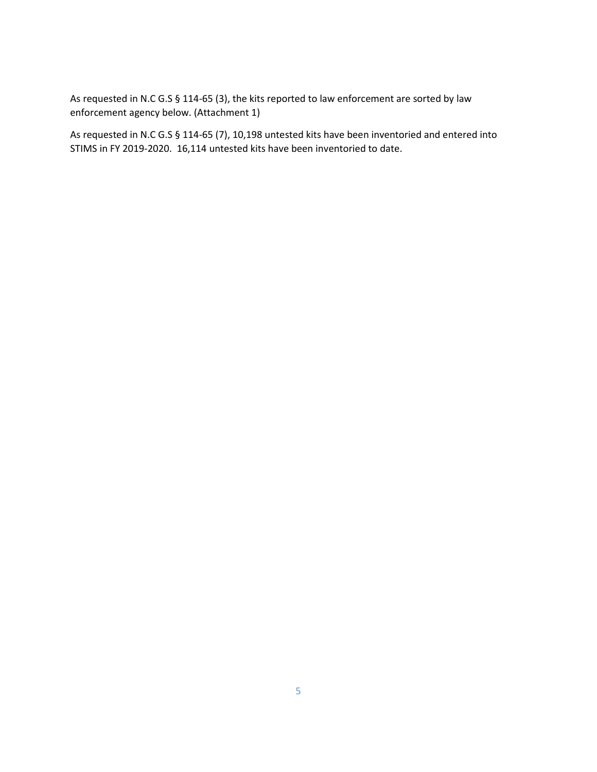As requested in N.C G.S § 114-65 (3), the kits reported to law enforcement are sorted by law enforcement agency below. (Attachment 1)

As requested in N.C G.S § 114-65 (7), 10,198 untested kits have been inventoried and entered into STIMS in FY 2019-2020. 16,114 untested kits have been inventoried to date.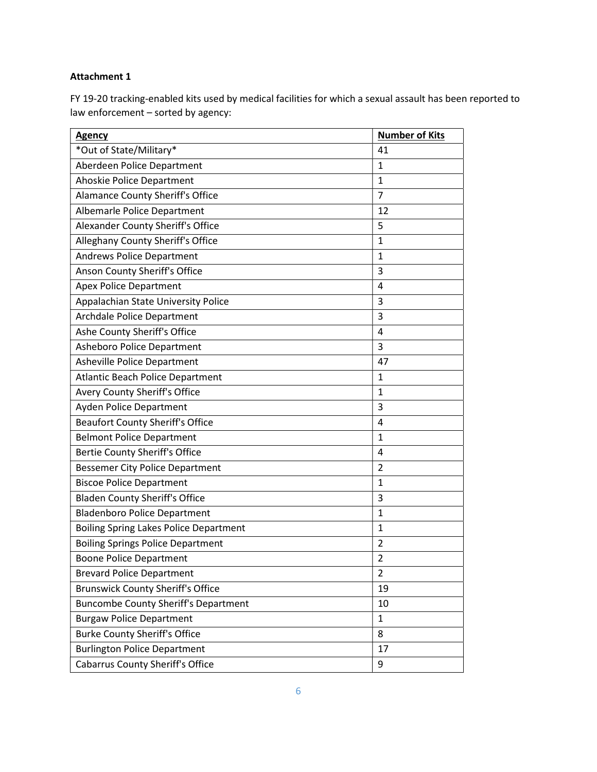#### Attachment 1

FY 19-20 tracking-enabled kits used by medical facilities for which a sexual assault has been reported to law enforcement – sorted by agency:

| <b>Agency</b>                                 | <b>Number of Kits</b> |
|-----------------------------------------------|-----------------------|
| *Out of State/Military*                       | 41                    |
| Aberdeen Police Department                    | $\mathbf{1}$          |
| Ahoskie Police Department                     | 1                     |
| Alamance County Sheriff's Office              | $\overline{7}$        |
| Albemarle Police Department                   | 12                    |
| Alexander County Sheriff's Office             | 5                     |
| Alleghany County Sheriff's Office             | $\mathbf{1}$          |
| <b>Andrews Police Department</b>              | $\mathbf{1}$          |
| Anson County Sheriff's Office                 | 3                     |
| <b>Apex Police Department</b>                 | 4                     |
| Appalachian State University Police           | 3                     |
| <b>Archdale Police Department</b>             | 3                     |
| Ashe County Sheriff's Office                  | 4                     |
| Asheboro Police Department                    | 3                     |
| Asheville Police Department                   | 47                    |
| <b>Atlantic Beach Police Department</b>       | $\mathbf{1}$          |
| Avery County Sheriff's Office                 | $\mathbf{1}$          |
| <b>Ayden Police Department</b>                | 3                     |
| <b>Beaufort County Sheriff's Office</b>       | 4                     |
| <b>Belmont Police Department</b>              | $\mathbf{1}$          |
| <b>Bertie County Sheriff's Office</b>         | $\overline{4}$        |
| <b>Bessemer City Police Department</b>        | $\overline{2}$        |
| <b>Biscoe Police Department</b>               | $\mathbf{1}$          |
| <b>Bladen County Sheriff's Office</b>         | 3                     |
| <b>Bladenboro Police Department</b>           | $\mathbf{1}$          |
| <b>Boiling Spring Lakes Police Department</b> | $\mathbf{1}$          |
| <b>Boiling Springs Police Department</b>      | 2                     |
| <b>Boone Police Department</b>                | $\overline{2}$        |
| <b>Brevard Police Department</b>              | $\overline{2}$        |
| <b>Brunswick County Sheriff's Office</b>      | 19                    |
| <b>Buncombe County Sheriff's Department</b>   | 10                    |
| <b>Burgaw Police Department</b>               | 1                     |
| <b>Burke County Sheriff's Office</b>          | 8                     |
| <b>Burlington Police Department</b>           | 17                    |
| <b>Cabarrus County Sheriff's Office</b>       | 9                     |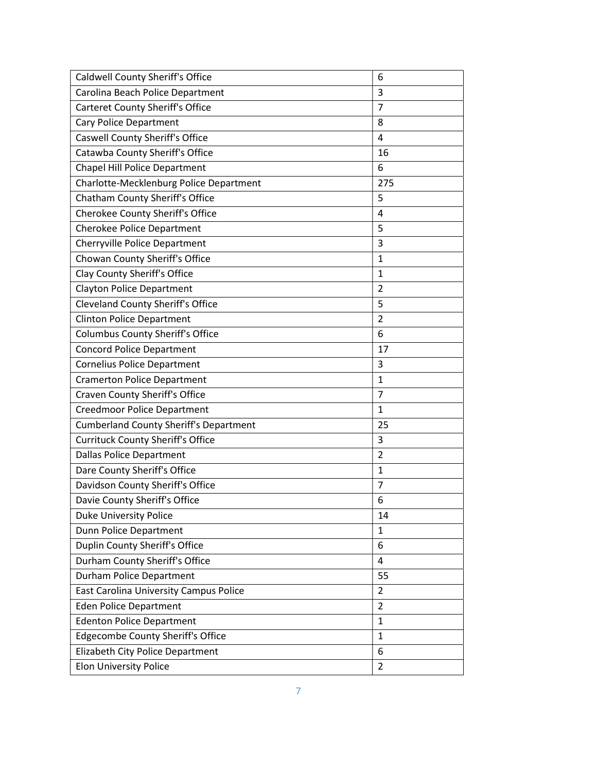| Caldwell County Sheriff's Office              | 6              |
|-----------------------------------------------|----------------|
| Carolina Beach Police Department              | 3              |
| <b>Carteret County Sheriff's Office</b>       | 7              |
| Cary Police Department                        | 8              |
| Caswell County Sheriff's Office               | 4              |
| Catawba County Sheriff's Office               | 16             |
| <b>Chapel Hill Police Department</b>          | 6              |
| Charlotte-Mecklenburg Police Department       | 275            |
| Chatham County Sheriff's Office               | 5              |
| Cherokee County Sheriff's Office              | 4              |
| <b>Cherokee Police Department</b>             | 5              |
| Cherryville Police Department                 | 3              |
| Chowan County Sheriff's Office                | $\mathbf{1}$   |
| Clay County Sheriff's Office                  | $\mathbf{1}$   |
| <b>Clayton Police Department</b>              | 2              |
| <b>Cleveland County Sheriff's Office</b>      | 5              |
| <b>Clinton Police Department</b>              | $\overline{2}$ |
| <b>Columbus County Sheriff's Office</b>       | 6              |
| <b>Concord Police Department</b>              | 17             |
| <b>Cornelius Police Department</b>            | 3              |
| <b>Cramerton Police Department</b>            | $\mathbf{1}$   |
| <b>Craven County Sheriff's Office</b>         | $\overline{7}$ |
| <b>Creedmoor Police Department</b>            | $\mathbf{1}$   |
| <b>Cumberland County Sheriff's Department</b> | 25             |
| <b>Currituck County Sheriff's Office</b>      | 3              |
| <b>Dallas Police Department</b>               | $\overline{2}$ |
| Dare County Sheriff's Office                  | 1              |
| Davidson County Sheriff's Office              | 7              |
| Davie County Sheriff's Office                 | 6              |
| <b>Duke University Police</b>                 | 14             |
| Dunn Police Department                        | $\mathbf{1}$   |
| Duplin County Sheriff's Office                | 6              |
| Durham County Sheriff's Office                | 4              |
| Durham Police Department                      | 55             |
| <b>East Carolina University Campus Police</b> | 2              |
| <b>Eden Police Department</b>                 | $\overline{2}$ |
| <b>Edenton Police Department</b>              | $\mathbf{1}$   |
| Edgecombe County Sheriff's Office             | $\mathbf{1}$   |
| Elizabeth City Police Department              | 6              |
| <b>Elon University Police</b>                 | $\overline{2}$ |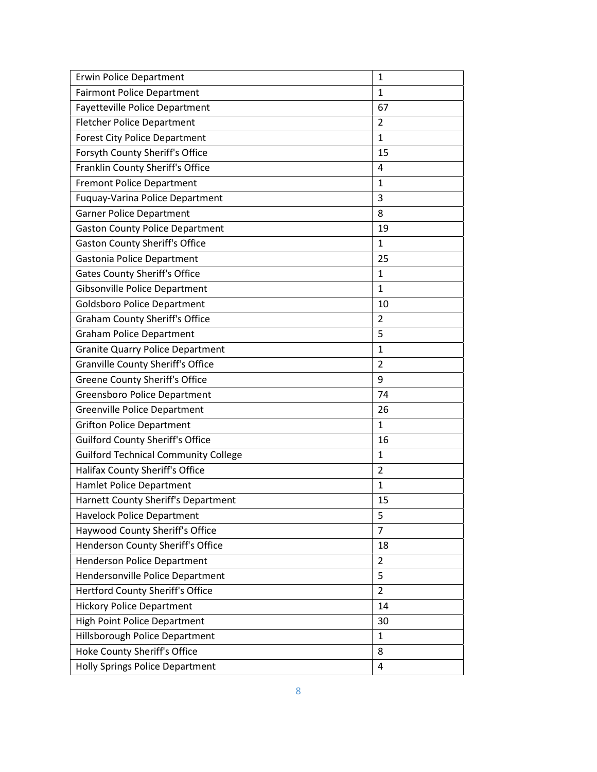| <b>Erwin Police Department</b>              | $\mathbf{1}$   |
|---------------------------------------------|----------------|
| <b>Fairmont Police Department</b>           | 1              |
| Fayetteville Police Department              | 67             |
| <b>Fletcher Police Department</b>           | 2              |
| <b>Forest City Police Department</b>        | $\mathbf{1}$   |
| Forsyth County Sheriff's Office             | 15             |
| Franklin County Sheriff's Office            | $\overline{4}$ |
| <b>Fremont Police Department</b>            | 1              |
| <b>Fuquay-Varina Police Department</b>      | 3              |
| <b>Garner Police Department</b>             | 8              |
| <b>Gaston County Police Department</b>      | 19             |
| <b>Gaston County Sheriff's Office</b>       | $\mathbf{1}$   |
| Gastonia Police Department                  | 25             |
| Gates County Sheriff's Office               | 1              |
| <b>Gibsonville Police Department</b>        | $\mathbf{1}$   |
| <b>Goldsboro Police Department</b>          | 10             |
| <b>Graham County Sheriff's Office</b>       | $\overline{2}$ |
| <b>Graham Police Department</b>             | 5              |
| <b>Granite Quarry Police Department</b>     | $\mathbf{1}$   |
| <b>Granville County Sheriff's Office</b>    | $\overline{2}$ |
| <b>Greene County Sheriff's Office</b>       | 9              |
| <b>Greensboro Police Department</b>         | 74             |
| Greenville Police Department                | 26             |
| <b>Grifton Police Department</b>            | $\mathbf{1}$   |
| <b>Guilford County Sheriff's Office</b>     | 16             |
| <b>Guilford Technical Community College</b> | $\mathbf{1}$   |
| Halifax County Sheriff's Office             | $\overline{2}$ |
| <b>Hamlet Police Department</b>             | $\mathbf{1}$   |
| Harnett County Sheriff's Department         | 15             |
| <b>Havelock Police Department</b>           | 5              |
| Haywood County Sheriff's Office             | $\overline{7}$ |
| Henderson County Sheriff's Office           | 18             |
| <b>Henderson Police Department</b>          | $\overline{2}$ |
| Hendersonville Police Department            | 5              |
| Hertford County Sheriff's Office            | $\overline{2}$ |
| <b>Hickory Police Department</b>            | 14             |
| <b>High Point Police Department</b>         | 30             |
| Hillsborough Police Department              | 1              |
| Hoke County Sheriff's Office                | 8              |
| <b>Holly Springs Police Department</b>      | 4              |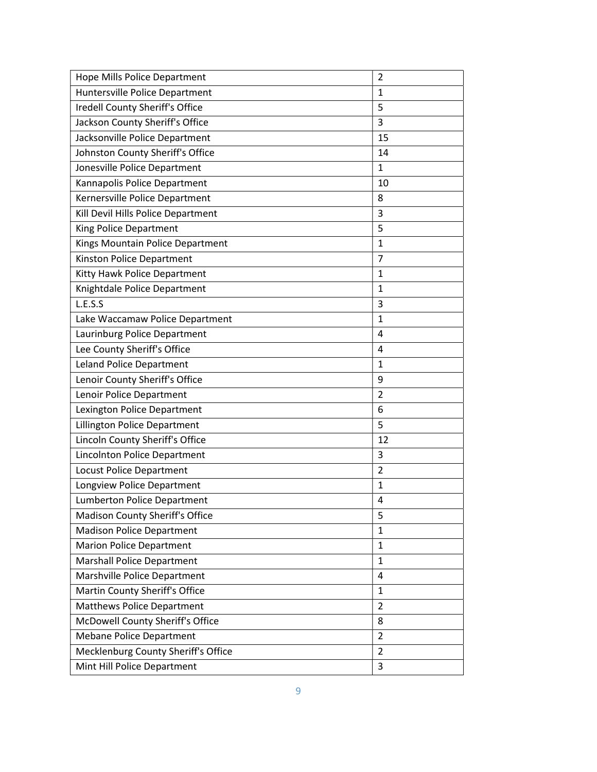| Hope Mills Police Department        | $\overline{2}$ |
|-------------------------------------|----------------|
| Huntersville Police Department      | $\mathbf{1}$   |
| Iredell County Sheriff's Office     | 5              |
| Jackson County Sheriff's Office     | 3              |
| Jacksonville Police Department      | 15             |
| Johnston County Sheriff's Office    | 14             |
| Jonesville Police Department        | $\mathbf{1}$   |
| Kannapolis Police Department        | 10             |
| Kernersville Police Department      | 8              |
| Kill Devil Hills Police Department  | 3              |
| King Police Department              | 5              |
| Kings Mountain Police Department    | $\mathbf{1}$   |
| Kinston Police Department           | 7              |
| Kitty Hawk Police Department        | $\mathbf{1}$   |
| Knightdale Police Department        | $\mathbf{1}$   |
| L.E.S.S                             | 3              |
| Lake Waccamaw Police Department     | $\mathbf{1}$   |
| Laurinburg Police Department        | 4              |
| Lee County Sheriff's Office         | 4              |
| <b>Leland Police Department</b>     | $\mathbf{1}$   |
| Lenoir County Sheriff's Office      | 9              |
| Lenoir Police Department            | $\overline{2}$ |
| Lexington Police Department         | 6              |
| Lillington Police Department        | 5              |
| Lincoln County Sheriff's Office     | 12             |
| Lincolnton Police Department        | 3              |
| Locust Police Department            | $\overline{2}$ |
| Longview Police Department          | $\mathbf{1}$   |
| <b>Lumberton Police Department</b>  | 4              |
| Madison County Sheriff's Office     | 5              |
| <b>Madison Police Department</b>    | $\mathbf{1}$   |
| <b>Marion Police Department</b>     | $\mathbf{1}$   |
| <b>Marshall Police Department</b>   | $\mathbf{1}$   |
| Marshville Police Department        | 4              |
| Martin County Sheriff's Office      | 1              |
| <b>Matthews Police Department</b>   | $\overline{2}$ |
| McDowell County Sheriff's Office    | 8              |
| <b>Mebane Police Department</b>     | $\overline{2}$ |
| Mecklenburg County Sheriff's Office | $\overline{2}$ |
| Mint Hill Police Department         | 3              |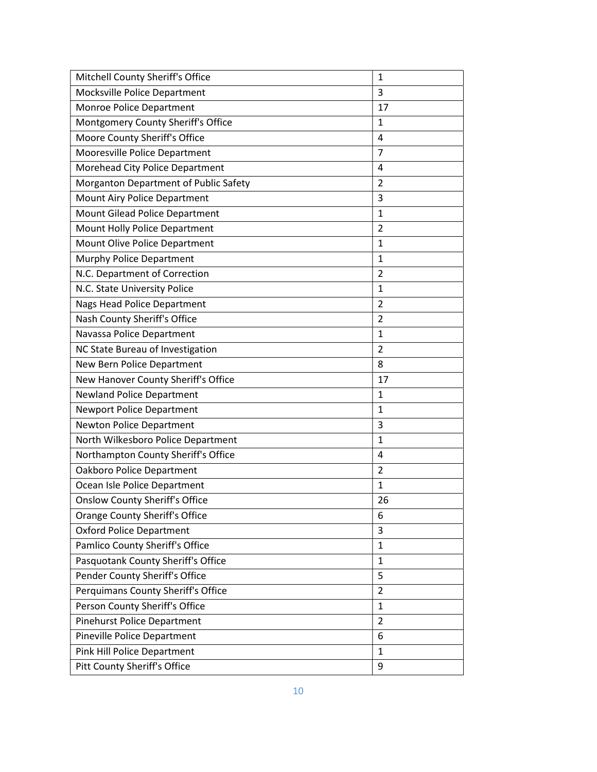| Mitchell County Sheriff's Office      | 1              |
|---------------------------------------|----------------|
| Mocksville Police Department          | 3              |
| Monroe Police Department              | 17             |
| Montgomery County Sheriff's Office    | $\mathbf{1}$   |
| Moore County Sheriff's Office         | $\overline{4}$ |
| Mooresville Police Department         | 7              |
| Morehead City Police Department       | 4              |
| Morganton Department of Public Safety | $\overline{2}$ |
| Mount Airy Police Department          | 3              |
| Mount Gilead Police Department        | $\mathbf{1}$   |
| Mount Holly Police Department         | $\overline{2}$ |
| Mount Olive Police Department         | $\mathbf{1}$   |
| Murphy Police Department              | $\mathbf{1}$   |
| N.C. Department of Correction         | $\overline{2}$ |
| N.C. State University Police          | 1              |
| <b>Nags Head Police Department</b>    | $\overline{2}$ |
| Nash County Sheriff's Office          | $\overline{2}$ |
| Navassa Police Department             | 1              |
| NC State Bureau of Investigation      | $\overline{2}$ |
| New Bern Police Department            | 8              |
| New Hanover County Sheriff's Office   | 17             |
| <b>Newland Police Department</b>      | $\mathbf{1}$   |
| <b>Newport Police Department</b>      | $\mathbf{1}$   |
| Newton Police Department              | 3              |
| North Wilkesboro Police Department    | $\mathbf{1}$   |
| Northampton County Sheriff's Office   | $\overline{4}$ |
| Oakboro Police Department             | 2              |
| Ocean Isle Police Department          | $\mathbf{1}$   |
| <b>Onslow County Sheriff's Office</b> | 26             |
| Orange County Sheriff's Office        | 6              |
| <b>Oxford Police Department</b>       | 3              |
| Pamlico County Sheriff's Office       | $\mathbf{1}$   |
| Pasquotank County Sheriff's Office    | 1              |
| Pender County Sheriff's Office        | 5              |
| Perquimans County Sheriff's Office    | $\overline{2}$ |
| Person County Sheriff's Office        | $\mathbf{1}$   |
| Pinehurst Police Department           | $\overline{2}$ |
| <b>Pineville Police Department</b>    | 6              |
| Pink Hill Police Department           | 1              |
| <b>Pitt County Sheriff's Office</b>   | 9              |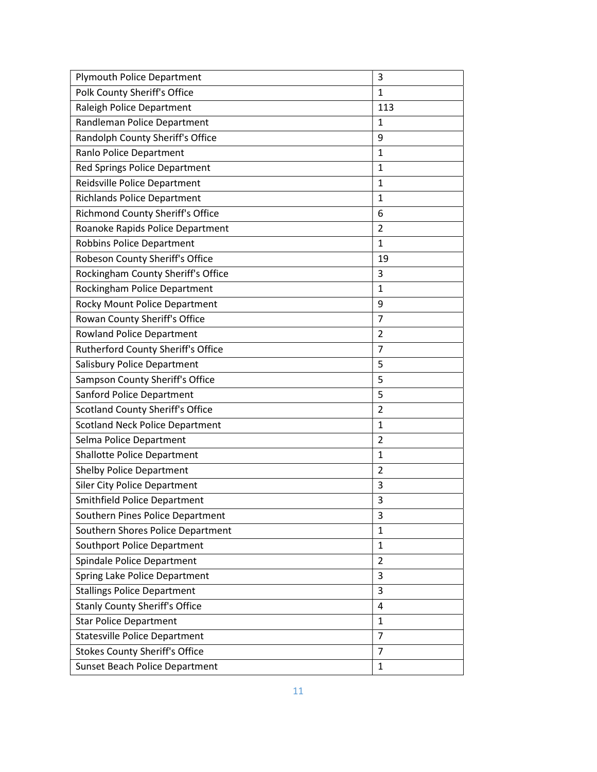| <b>Plymouth Police Department</b>         | 3              |
|-------------------------------------------|----------------|
| Polk County Sheriff's Office              | $\mathbf{1}$   |
| Raleigh Police Department                 | 113            |
| Randleman Police Department               | $\mathbf{1}$   |
| Randolph County Sheriff's Office          | 9              |
| Ranlo Police Department                   | 1              |
| Red Springs Police Department             | $\mathbf{1}$   |
| Reidsville Police Department              | $\mathbf{1}$   |
| <b>Richlands Police Department</b>        | $\mathbf{1}$   |
| Richmond County Sheriff's Office          | 6              |
| Roanoke Rapids Police Department          | 2              |
| Robbins Police Department                 | $\mathbf{1}$   |
| Robeson County Sheriff's Office           | 19             |
| Rockingham County Sheriff's Office        | 3              |
| Rockingham Police Department              | $\mathbf{1}$   |
| Rocky Mount Police Department             | 9              |
| Rowan County Sheriff's Office             | $\overline{7}$ |
| <b>Rowland Police Department</b>          | 2              |
| <b>Rutherford County Sheriff's Office</b> | $\overline{7}$ |
| Salisbury Police Department               | 5              |
| Sampson County Sheriff's Office           | 5              |
| Sanford Police Department                 | 5              |
| <b>Scotland County Sheriff's Office</b>   | $\overline{2}$ |
| <b>Scotland Neck Police Department</b>    | $\mathbf{1}$   |
| Selma Police Department                   | 2              |
| <b>Shallotte Police Department</b>        | $\mathbf{1}$   |
| <b>Shelby Police Department</b>           | $\overline{2}$ |
| <b>Siler City Police Department</b>       | 3              |
| Smithfield Police Department              | 3              |
| Southern Pines Police Department          | 3              |
| Southern Shores Police Department         | $\mathbf{1}$   |
| Southport Police Department               | $\mathbf{1}$   |
| Spindale Police Department                | $\overline{2}$ |
| Spring Lake Police Department             | 3              |
| <b>Stallings Police Department</b>        | 3              |
| <b>Stanly County Sheriff's Office</b>     | 4              |
| <b>Star Police Department</b>             | $\mathbf{1}$   |
| <b>Statesville Police Department</b>      | $\overline{7}$ |
| <b>Stokes County Sheriff's Office</b>     | $\overline{7}$ |
| Sunset Beach Police Department            | $\mathbf{1}$   |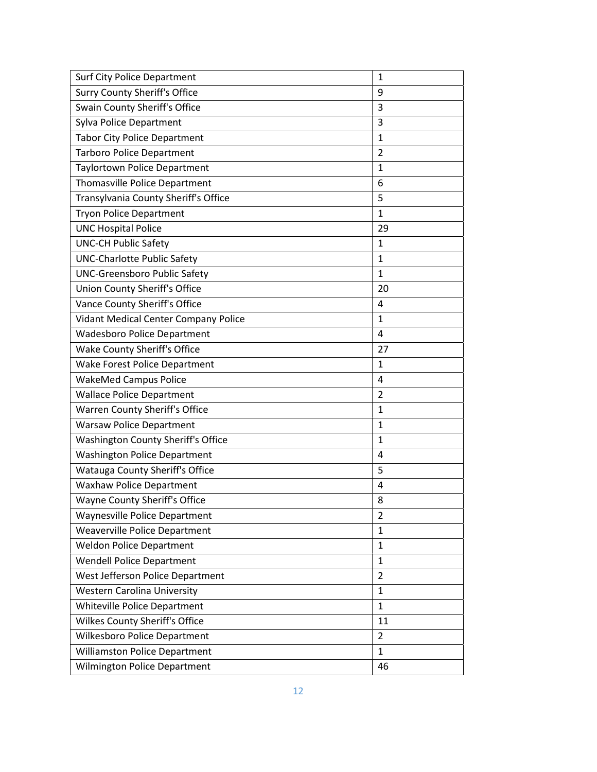| <b>Surf City Police Department</b>        | $\mathbf{1}$   |
|-------------------------------------------|----------------|
| <b>Surry County Sheriff's Office</b>      | 9              |
| Swain County Sheriff's Office             | 3              |
| Sylva Police Department                   | 3              |
| <b>Tabor City Police Department</b>       | $\mathbf{1}$   |
| <b>Tarboro Police Department</b>          | 2              |
| <b>Taylortown Police Department</b>       | $\mathbf{1}$   |
| <b>Thomasville Police Department</b>      | 6              |
| Transylvania County Sheriff's Office      | 5              |
| <b>Tryon Police Department</b>            | $\mathbf{1}$   |
| <b>UNC Hospital Police</b>                | 29             |
| <b>UNC-CH Public Safety</b>               | $\mathbf{1}$   |
| <b>UNC-Charlotte Public Safety</b>        | $\mathbf{1}$   |
| <b>UNC-Greensboro Public Safety</b>       | $\mathbf{1}$   |
| Union County Sheriff's Office             | 20             |
| Vance County Sheriff's Office             | 4              |
| Vidant Medical Center Company Police      | $\mathbf{1}$   |
| <b>Wadesboro Police Department</b>        | 4              |
| Wake County Sheriff's Office              | 27             |
| Wake Forest Police Department             | $\mathbf{1}$   |
| <b>WakeMed Campus Police</b>              | 4              |
| <b>Wallace Police Department</b>          | $\overline{2}$ |
| Warren County Sheriff's Office            | $\mathbf{1}$   |
| <b>Warsaw Police Department</b>           | $\mathbf{1}$   |
| <b>Washington County Sheriff's Office</b> | $\mathbf{1}$   |
| <b>Washington Police Department</b>       | $\overline{4}$ |
| Watauga County Sheriff's Office           | 5              |
| <b>Waxhaw Police Department</b>           | 4              |
| <b>Wayne County Sheriff's Office</b>      | 8              |
| Waynesville Police Department             | 2              |
| <b>Weaverville Police Department</b>      | $\mathbf{1}$   |
| <b>Weldon Police Department</b>           | $\mathbf{1}$   |
| <b>Wendell Police Department</b>          | 1              |
| West Jefferson Police Department          | $\overline{2}$ |
| <b>Western Carolina University</b>        | 1              |
| Whiteville Police Department              | 1              |
| Wilkes County Sheriff's Office            | 11             |
| Wilkesboro Police Department              | $\overline{2}$ |
| <b>Williamston Police Department</b>      | 1              |
| <b>Wilmington Police Department</b>       | 46             |